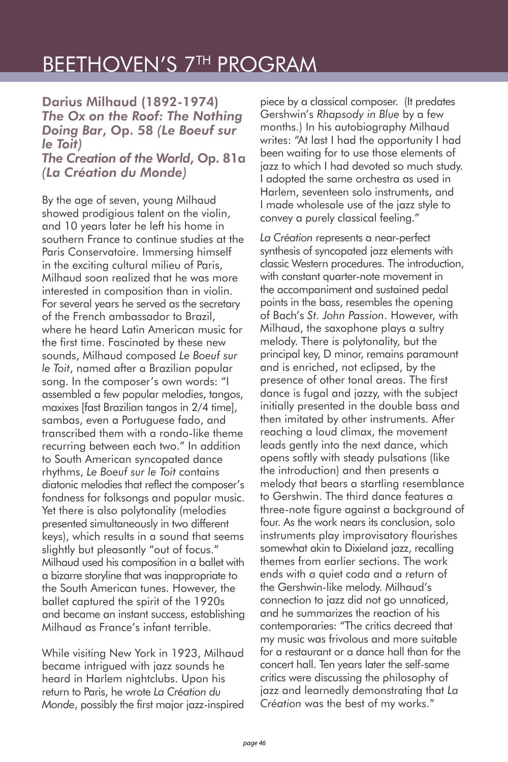## BEETHOVEN'S 7TH PROGRAM

Darius Milhaud (1892-1974) *The Ox on the Roof: The Nothing Doing Bar*, Op. 58 *(Le Boeuf sur le Toit) The Creation of the World*, Op. 81a

*(La Création du Monde)*

By the age of seven, young Milhaud showed prodigious talent on the violin, and 10 years later he left his home in southern France to continue studies at the Paris Conservatoire. Immersing himself in the exciting cultural milieu of Paris, Milhaud soon realized that he was more interested in composition than in violin. For several years he served as the secretary of the French ambassador to Brazil, where he heard Latin American music for the first time. Fascinated by these new sounds, Milhaud composed *Le Boeuf sur le Toit*, named after a Brazilian popular song. In the composer's own words: "I assembled a few popular melodies, tangos, maxixes [fast Brazilian tangos in 2/4 time], sambas, even a Portuguese fado, and transcribed them with a rondo-like theme recurring between each two." In addition to South American syncopated dance rhythms, *Le Boeuf sur le Toit* contains diatonic melodies that reflect the composer's fondness for folksongs and popular music. Yet there is also polytonality (melodies presented simultaneously in two different keys), which results in a sound that seems slightly but pleasantly "out of focus." Milhaud used his composition in a ballet with a bizarre storyline that was inappropriate to the South American tunes. However, the ballet captured the spirit of the 1920s and became an instant success, establishing Milhaud as France's infant terrible.

While visiting New York in 1923, Milhaud became intrigued with jazz sounds he heard in Harlem nightclubs. Upon his return to Paris, he wrote *La Création du Monde*, possibly the first major jazz-inspired

piece by a classical composer. (It predates Gershwin's *Rhapsody in Blue* by a few months.) In his autobiography Milhaud writes: "At last I had the opportunity I had been waiting for to use those elements of jazz to which I had devoted so much study. I adopted the same orchestra as used in Harlem, seventeen solo instruments, and I made wholesale use of the jazz style to convey a purely classical feeling."

*La Création* represents a near-perfect synthesis of syncopated jazz elements with classic Western procedures. The introduction, with constant quarter-note movement in the accompaniment and sustained pedal points in the bass, resembles the opening of Bach's *St. John Passion*. However, with Milhaud, the saxophone plays a sultry melody. There is polytonality, but the principal key, D minor, remains paramount and is enriched, not eclipsed, by the presence of other tonal areas. The first dance is fugal and jazzy, with the subject initially presented in the double bass and then imitated by other instruments. After reaching a loud climax, the movement leads gently into the next dance, which opens softly with steady pulsations (like the introduction) and then presents a melody that bears a startling resemblance to Gershwin. The third dance features a three-note figure against a background of four. As the work nears its conclusion, solo instruments play improvisatory flourishes somewhat akin to Dixieland jazz, recalling themes from earlier sections. The work ends with a quiet coda and a return of the Gershwin-like melody. Milhaud's connection to jazz did not go unnoticed, and he summarizes the reaction of his contemporaries: "The critics decreed that my music was frivolous and more suitable for a restaurant or a dance hall than for the concert hall. Ten years later the self-same critics were discussing the philosophy of jazz and learnedly demonstrating that *La Création* was the best of my works."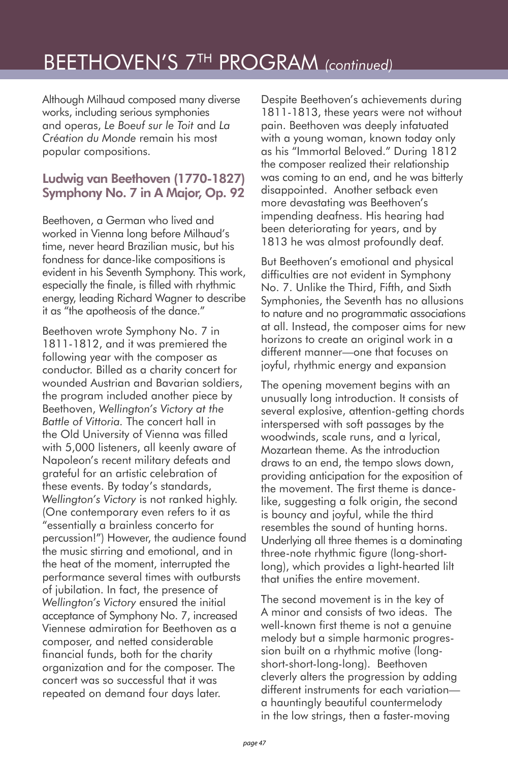## BEETHOVEN'S 7TH PROGRAM *(continued)*

Although Milhaud composed many diverse works, including serious symphonies and operas, *Le Boeuf sur le Toit* and *La Création du Monde* remain his most popular compositions.

## Ludwig van Beethoven (1770-1827) Symphony No. 7 in A Major, Op. 92

Beethoven, a German who lived and worked in Vienna long before Milhaud's time, never heard Brazilian music, but his fondness for dance-like compositions is evident in his Seventh Symphony. This work, especially the finale, is filled with rhythmic energy, leading Richard Wagner to describe it as "the apotheosis of the dance."

Beethoven wrote Symphony No. 7 in 1811-1812, and it was premiered the following year with the composer as conductor. Billed as a charity concert for wounded Austrian and Bavarian soldiers, the program included another piece by Beethoven, *Wellington's Victory at the Battle of Vittoria.* The concert hall in the Old University of Vienna was filled with 5,000 listeners, all keenly aware of Napoleon's recent military defeats and grateful for an artistic celebration of these events. By today's standards, *Wellington's Victory* is not ranked highly. (One contemporary even refers to it as "essentially a brainless concerto for percussion!") However, the audience found the music stirring and emotional, and in the heat of the moment, interrupted the performance several times with outbursts of jubilation. In fact, the presence of *Wellington's Victory* ensured the initial acceptance of Symphony No. 7, increased Viennese admiration for Beethoven as a composer, and netted considerable financial funds, both for the charity organization and for the composer. The concert was so successful that it was repeated on demand four days later.

Despite Beethoven's achievements during 1811-1813, these years were not without pain. Beethoven was deeply infatuated with a young woman, known today only as his "Immortal Beloved." During 1812 the composer realized their relationship was coming to an end, and he was bitterly disappointed. Another setback even more devastating was Beethoven's impending deafness. His hearing had been deteriorating for years, and by 1813 he was almost profoundly deaf.

But Beethoven's emotional and physical difficulties are not evident in Symphony No. 7. Unlike the Third, Fifth, and Sixth Symphonies, the Seventh has no allusions to nature and no programmatic associations at all. Instead, the composer aims for new horizons to create an original work in a different manner—one that focuses on joyful, rhythmic energy and expansion

The opening movement begins with an unusually long introduction. It consists of several explosive, attention-getting chords interspersed with soft passages by the woodwinds, scale runs, and a lyrical, Mozartean theme. As the introduction draws to an end, the tempo slows down, providing anticipation for the exposition of the movement. The first theme is dancelike, suggesting a folk origin, the second is bouncy and joyful, while the third resembles the sound of hunting horns. Underlying all three themes is a dominating three-note rhythmic figure (long-shortlong), which provides a light-hearted lilt that unifies the entire movement.

The second movement is in the key of A minor and consists of two ideas. The well-known first theme is not a genuine melody but a simple harmonic progression built on a rhythmic motive (longshort-short-long-long). Beethoven cleverly alters the progression by adding different instruments for each variation a hauntingly beautiful countermelody in the low strings, then a faster-moving